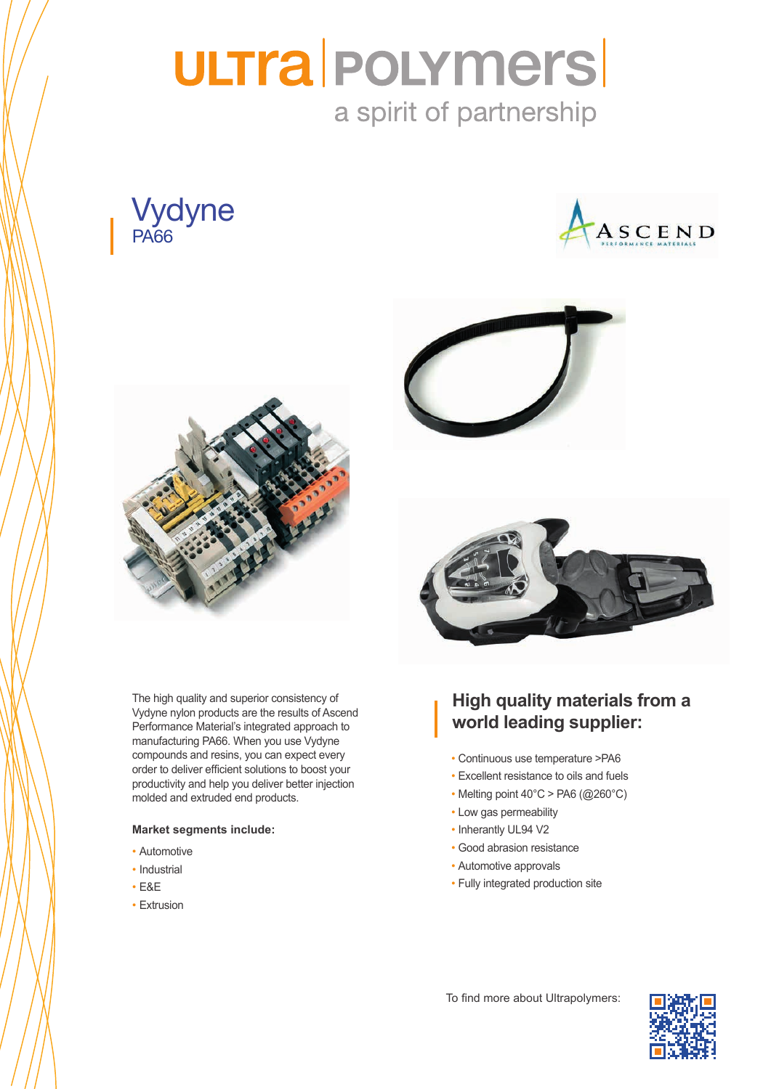# **ULTra | POLYMErs|** a spirit of partnership







order to deliver efficient solutions to boost your productivity and help you deliver better injection molded and extruded end products. The high quality and superior consistency of Vydyne nylon products are the results of Ascend Performance Material's integrated approach to manufacturing PA66. When you use Vydyne compounds and resins, you can expect every

## **Market segments include:**

- Automotive
- Industrial various market with various market  $\mathbf{r}$
- $s_{\text{max}}$ • E&E
- Extrusion





# **High quality materials from a** Pre coloured + special measures (UV, laser marking,…) **world leading supplier:**

- Continuous use temperature >PA6
- Excellent resistance to oils and fuels
- Melting point 40°C > PA6 (@260°C)
- Low gas permeability
- Inherantly UL94 V2
- Good abrasion resistance
- Automotive approvals
- Fully integrated production site

To find more about Ultrapolymers: **Furniture**